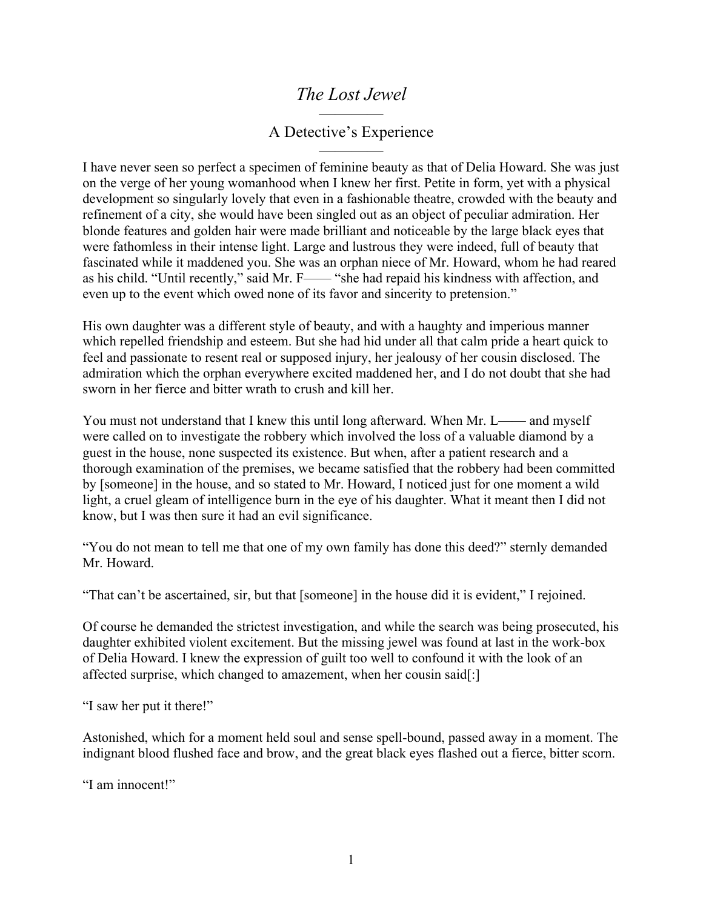## *The Lost Jewel*

## ———— A Detective's Experience ————

I have never seen so perfect a specimen of feminine beauty as that of Delia Howard. She was just on the verge of her young womanhood when I knew her first. Petite in form, yet with a physical development so singularly lovely that even in a fashionable theatre, crowded with the beauty and refinement of a city, she would have been singled out as an object of peculiar admiration. Her blonde features and golden hair were made brilliant and noticeable by the large black eyes that were fathomless in their intense light. Large and lustrous they were indeed, full of beauty that fascinated while it maddened you. She was an orphan niece of Mr. Howard, whom he had reared as his child. "Until recently," said Mr. F—— "she had repaid his kindness with affection, and even up to the event which owed none of its favor and sincerity to pretension."

His own daughter was a different style of beauty, and with a haughty and imperious manner which repelled friendship and esteem. But she had hid under all that calm pride a heart quick to feel and passionate to resent real or supposed injury, her jealousy of her cousin disclosed. The admiration which the orphan everywhere excited maddened her, and I do not doubt that she had sworn in her fierce and bitter wrath to crush and kill her.

You must not understand that I knew this until long afterward. When Mr. L—— and myself were called on to investigate the robbery which involved the loss of a valuable diamond by a guest in the house, none suspected its existence. But when, after a patient research and a thorough examination of the premises, we became satisfied that the robbery had been committed by [someone] in the house, and so stated to Mr. Howard, I noticed just for one moment a wild light, a cruel gleam of intelligence burn in the eye of his daughter. What it meant then I did not know, but I was then sure it had an evil significance.

"You do not mean to tell me that one of my own family has done this deed?" sternly demanded Mr. Howard.

"That can't be ascertained, sir, but that [someone] in the house did it is evident," I rejoined.

Of course he demanded the strictest investigation, and while the search was being prosecuted, his daughter exhibited violent excitement. But the missing jewel was found at last in the work-box of Delia Howard. I knew the expression of guilt too well to confound it with the look of an affected surprise, which changed to amazement, when her cousin said[:]

"I saw her put it there!"

Astonished, which for a moment held soul and sense spell-bound, passed away in a moment. The indignant blood flushed face and brow, and the great black eyes flashed out a fierce, bitter scorn.

"I am innocent!"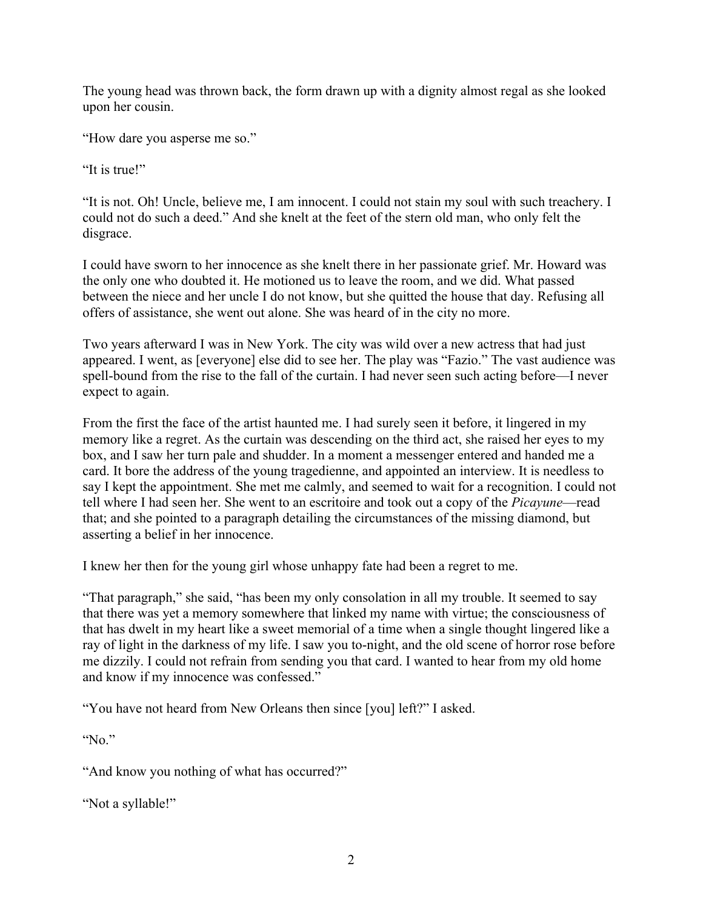The young head was thrown back, the form drawn up with a dignity almost regal as she looked upon her cousin.

"How dare you asperse me so."

"It is true!"

"It is not. Oh! Uncle, believe me, I am innocent. I could not stain my soul with such treachery. I could not do such a deed." And she knelt at the feet of the stern old man, who only felt the disgrace.

I could have sworn to her innocence as she knelt there in her passionate grief. Mr. Howard was the only one who doubted it. He motioned us to leave the room, and we did. What passed between the niece and her uncle I do not know, but she quitted the house that day. Refusing all offers of assistance, she went out alone. She was heard of in the city no more.

Two years afterward I was in New York. The city was wild over a new actress that had just appeared. I went, as [everyone] else did to see her. The play was "Fazio." The vast audience was spell-bound from the rise to the fall of the curtain. I had never seen such acting before—I never expect to again.

From the first the face of the artist haunted me. I had surely seen it before, it lingered in my memory like a regret. As the curtain was descending on the third act, she raised her eyes to my box, and I saw her turn pale and shudder. In a moment a messenger entered and handed me a card. It bore the address of the young tragedienne, and appointed an interview. It is needless to say I kept the appointment. She met me calmly, and seemed to wait for a recognition. I could not tell where I had seen her. She went to an escritoire and took out a copy of the *Picayune*—read that; and she pointed to a paragraph detailing the circumstances of the missing diamond, but asserting a belief in her innocence.

I knew her then for the young girl whose unhappy fate had been a regret to me.

"That paragraph," she said, "has been my only consolation in all my trouble. It seemed to say that there was yet a memory somewhere that linked my name with virtue; the consciousness of that has dwelt in my heart like a sweet memorial of a time when a single thought lingered like a ray of light in the darkness of my life. I saw you to-night, and the old scene of horror rose before me dizzily. I could not refrain from sending you that card. I wanted to hear from my old home and know if my innocence was confessed."

"You have not heard from New Orleans then since [you] left?" I asked.

"No."

"And know you nothing of what has occurred?"

"Not a syllable!"